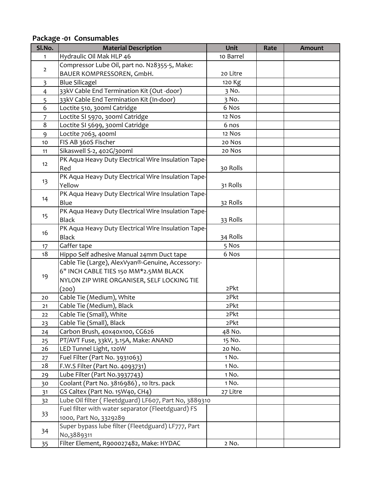**Package ‐01 Consumables**

| Sl.No.         | <b>Material Description</b>                           | Unit      | Rate | <b>Amount</b> |
|----------------|-------------------------------------------------------|-----------|------|---------------|
| $\mathbf{1}$   | Hydraulic Oil Mak HLP 46                              | 10 Barrel |      |               |
| $\mathbf 2$    | Compressor Lube Oil, part no. N28355-5, Make:         |           |      |               |
|                | BAUER KOMPRESSOREN, GmbH.                             | 20 Litre  |      |               |
| $\overline{3}$ | <b>Blue Silicagel</b>                                 | 120 Kg    |      |               |
| $\overline{4}$ | 33kV Cable End Termination Kit (Out -door)            | 3 No.     |      |               |
| 5              | 33kV Cable End Termination Kit (In-door)              | 3 No.     |      |               |
| 6              | Loctite 510, 300ml Catridge                           | 6 Nos     |      |               |
| 7              | Loctite SI 5970, 300ml Catridge                       | 12 Nos    |      |               |
| 8              | Loctite SI 5699, 300ml Catridge                       | 6 nos     |      |               |
| 9              | Loctite 7063, 400ml                                   | 12 Nos    |      |               |
| 10             | FIS AB 360S Fischer                                   | 20 Nos    |      |               |
| 11             | Sikaswell S-2, 402G/300ml                             | 20 Nos    |      |               |
| 12             | PK Aqua Heavy Duty Electrical Wire Insulation Tape-   |           |      |               |
|                | Red                                                   | 30 Rolls  |      |               |
|                | PK Aqua Heavy Duty Electrical Wire Insulation Tape-   |           |      |               |
| 13             | Yellow                                                | 31 Rolls  |      |               |
|                | PK Aqua Heavy Duty Electrical Wire Insulation Tape-   |           |      |               |
| 14             | Blue                                                  | 32 Rolls  |      |               |
| 15             | PK Aqua Heavy Duty Electrical Wire Insulation Tape-   |           |      |               |
|                | <b>Black</b>                                          | 33 Rolls  |      |               |
| 16             | PK Aqua Heavy Duty Electrical Wire Insulation Tape-   |           |      |               |
|                | <b>Black</b>                                          | 34 Rolls  |      |               |
| 17             | Gaffer tape                                           | 5 Nos     |      |               |
| 18             | Hippo Self adhesive Manual 24mm Duct tape             | 6 Nos     |      |               |
|                | Cable Tie (Large), AlexVyan®-Genuine, Accessory:-     |           |      |               |
| 19             | 6" INCH CABLE TIES 150 MM*2.5MM BLACK                 |           |      |               |
|                | NYLON ZIP WIRE ORGANISER, SELF LOCKING TIE            |           |      |               |
|                | (200)                                                 | 2Pkt      |      |               |
| 20             | Cable Tie (Medium), White                             | 2Pkt      |      |               |
| 21             | Cable Tie (Medium), Black                             | 2Pkt      |      |               |
| 22             | Cable Tie (Small), White                              | 2Pkt      |      |               |
| 23             | Cable Tie (Small), Black                              | 2Pkt      |      |               |
| 24             | Carbon Brush, 40x40x100, CG626                        | 48 No.    |      |               |
| 25             | PT/AVT Fuse, 33kV, 3.15A, Make: ANAND                 | 15 No.    |      |               |
| 26             | LED Tunnel Light, 120W                                | 20 No.    |      |               |
| 27             | Fuel Filter (Part No. 3931063)                        | 1 No.     |      |               |
| 28             | F.W.S Filter (Part No. 4093731)                       | 1 No.     |      |               |
| 29             | Lube Filter (Part No.3937743)                         | 1 No.     |      |               |
| 30             | Coolant (Part No. 3816986), 10 ltrs. pack             | 1 No.     |      |               |
| 31             | GS Caltex (Part No. 15W40, CH4)                       | 27 Litre  |      |               |
| 32             | Lube Oil filter (Fleetdguard) LF607, Part No, 3889310 |           |      |               |
| 33             | Fuel filter with water separator (Fleetdguard) FS     |           |      |               |
|                | 1000, Part No, 3329289                                |           |      |               |
| 34             | Super bypass lube filter (Fleetdguard) LF777, Part    |           |      |               |
|                | No,3889311                                            |           |      |               |
| 35             | Filter Element, R900027482, Make: HYDAC               | 2 No.     |      |               |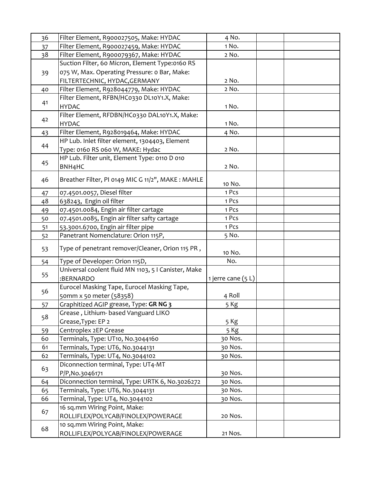| 36       | Filter Element, R900027505, Make: HYDAC                            | 4 No.              |  |
|----------|--------------------------------------------------------------------|--------------------|--|
| 37       | Filter Element, R900027459, Make: HYDAC                            | 1 No.              |  |
| 38       | Filter Element, R900079367, Make: HYDAC                            | 2 No.              |  |
|          | Suction Filter, 60 Micron, Element Type:0160 RS                    |                    |  |
| 39       | 075 W, Max. Operating Pressure: 0 Bar, Make:                       |                    |  |
|          | FILTERTECHNIC, HYDAC, GERMANY                                      | 2 No.              |  |
| 40       | Filter Element, R928044779, Make: HYDAC                            | 2 No.              |  |
|          | Filter Element, RFBN/HC0330 DL10Y1.X, Make:                        |                    |  |
| 41       | <b>HYDAC</b>                                                       | 1 No.              |  |
|          | Filter Element, RFDBN/HC0330 DAL10Y1.X, Make:                      |                    |  |
| 42       | <b>HYDAC</b>                                                       | 1 No.              |  |
| 43       | Filter Element, R928019464, Make: HYDAC                            | 4 No.              |  |
|          | HP Lub. Inlet filter element, 1304403, Element                     |                    |  |
| 44       | Type: 0160 RS 060 W, MAKE: Hydac                                   | 2 No.              |  |
|          | HP Lub. Filter unit, Element Type: 0110 D 010                      |                    |  |
| 45       | BNH <sub>4</sub> HC                                                | 2 No.              |  |
| 46       | Breather Filter, PI 0149 MIC G 11/2", MAKE: MAHLE                  |                    |  |
|          |                                                                    | 10 No.             |  |
| 47       | 07.4501.0057, Diesel filter                                        | 1 Pcs              |  |
| 48       | 638243, Engin oil filter                                           | 1 Pcs              |  |
| 49       | 07.4501.0084, Engin air filter cartage                             | 1 Pcs              |  |
| 50       | 07.4501.0085, Engin air filter safty cartage                       | 1 Pcs              |  |
| 51       | 53.3001.6700, Engin air filter pipe                                | 1 Pcs              |  |
| 52       | Panetrant Nomenclature: Orion 115P,                                | 5 No.              |  |
| 53       | Type of penetrant remover/Cleaner, Orion 115 PR,                   | 10 No.             |  |
| 54       | Type of Developer: Orion 115D,                                     | No.                |  |
| 55       | Universal coolent fluid MN 1103, 5 I Canister, Make                |                    |  |
|          | :BERNARDO                                                          | 1 jerre cane (5 L) |  |
| 56       | Eurocel Masking Tape, Eurocel Masking Tape,                        |                    |  |
|          | 50mm x 50 meter (58358)                                            | 4 Roll             |  |
| 57       | Graphitized AGIP grease, Type: GR NG 3                             | 5 Kg               |  |
| 58       | Grease, Lithium- based Vanguard LIKO                               |                    |  |
|          | Grease, Type: EP 2                                                 | 5 Kg               |  |
| 59       | Centroplex 2EP Grease                                              | 5 Kg               |  |
| 60       | Terminals, Type: UT10, No.3044160                                  | 30 Nos.            |  |
| 61       | Terminals, Type: UT6, No.3044131                                   | 30 Nos.            |  |
| 62       | Terminals, Type: UT4, No.3044102                                   | 30 Nos.            |  |
| 63       | Diconnection terminal, Type: UT4-MT                                |                    |  |
|          | P/P, No. 3046171                                                   | 30 Nos.            |  |
| 64       | Diconnection terminal, Type: URTK 6, No.3026272                    | 30 Nos.            |  |
| 65<br>66 | Terminals, Type: UT6, No.3044131                                   | 30 Nos.            |  |
|          | Terminal, Type: UT4, No.3044102<br>16 sq.mm Wiring Point, Make:    | 30 Nos.            |  |
| 67       |                                                                    | 20 Nos.            |  |
|          | ROLLIFLEX/POLYCAB/FINOLEX/POWERAGE<br>10 sq.mm Wiring Point, Make: |                    |  |
| 68       | ROLLIFLEX/POLYCAB/FINOLEX/POWERAGE                                 | 21 Nos.            |  |
|          |                                                                    |                    |  |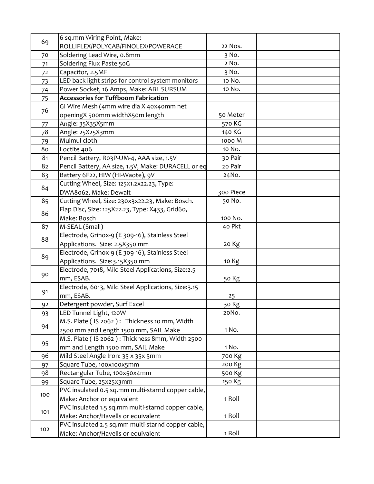| 69  | 6 sq.mm Wiring Point, Make:                         |           |  |
|-----|-----------------------------------------------------|-----------|--|
|     | ROLLIFLEX/POLYCAB/FINOLEX/POWERAGE                  | 22 Nos.   |  |
| 70  | Soldering Lead Wire, o.8mm                          | 3 No.     |  |
| 71  | Soldering Flux Paste 50G                            | 2 No.     |  |
| 72  | Capacitor, 2.5MF                                    | 3 No.     |  |
| 73  | LED back light strips for control system monitors   | 10 No.    |  |
| 74  | Power Socket, 16 Amps, Make: ABL SURSUM             | 10 No.    |  |
| 75  | <b>Accessories for Tuffboom Fabrication</b>         |           |  |
|     | GI Wire Mesh (4mm wire dia X 40x40mm net            |           |  |
| 76  | openingX 500mm widthX50m length                     | 50 Meter  |  |
| 77  | Angle: 35X35X5mm                                    | 570 KG    |  |
| 78  | Angle: 25X25X3mm                                    | 140 KG    |  |
| 79  | Mulmul cloth                                        | 1000 M    |  |
| 80  | Loctite 406                                         | 10 No.    |  |
| 81  | Pencil Battery, Ro3P-UM-4, AAA size, 1.5V           | 30 Pair   |  |
| 82  | Pencil Battery, AA size, 1.5V, Make: DURACELL or eq | 20 Pair   |  |
| 83  | Battery 6F22, HIW (HI-Waote), 9V                    | 24No.     |  |
| 84  | Cutting Wheel, Size: 125x1.2x22.23, Type:           |           |  |
|     | DWA8062, Make: Dewalt                               | 300 Piece |  |
| 85  | Cutting Wheel, Size: 230x3x22.23, Make: Bosch.      | 50 No.    |  |
| 86  | Flap Disc, Size: 125X22.23, Type: X433, Grid60,     |           |  |
|     | Make: Bosch                                         | 100 No.   |  |
| 87  | M-SEAL (Small)                                      | 40 Pkt    |  |
| 88  | Electrode, Grinox-9 (E 309-16), Stainless Steel     |           |  |
|     | Applications. Size: 2.5X350 mm                      | 20 Kg     |  |
| 89  | Electrode, Grinox-9 (E 309-16), Stainless Steel     |           |  |
|     | Applications. Size: 3.15X350 mm                     | 10 Kg     |  |
| 90  | Electrode, 7018, Mild Steel Applications, Size:2.5  |           |  |
|     | mm, ESAB.                                           | 50 Kg     |  |
| 91  | Electrode, 6013, Mild Steel Applications, Size:3.15 |           |  |
|     | mm, ESAB.                                           | 25        |  |
| 92  | Detergent powder, Surf Excel                        | 30 Kg     |  |
| 93  | LED Tunnel Light, 120W                              | 20No.     |  |
| 94  | M.S. Plate ( IS 2062 ): Thickness 10 mm, Width      |           |  |
|     | 2500 mm and Length 1500 mm, SAIL Make               | 1 No.     |  |
| 95  | M.S. Plate ( IS 2062 ): Thickness 8mm, Width 2500   |           |  |
|     | mm and Length 1500 mm, SAIL Make                    | 1 No.     |  |
| 96  | Mild Steel Angle Iron: 35 x 35x 5mm                 | 700 Kg    |  |
| 97  | Square Tube, 100x100x5mm                            | 200 Kg    |  |
| 98  | Rectangular Tube, 100x50x4mm                        | 500 Kg    |  |
| 99  | Square Tube, 25x25x3mm                              | 150 Kg    |  |
| 100 | PVC insulated 0.5 sq.mm multi-starnd copper cable,  |           |  |
|     | Make: Anchor or equivalent                          | 1 Roll    |  |
| 101 | PVC insulated 1.5 sq.mm multi-starnd copper cable,  |           |  |
|     | Make: Anchor/Havells or equivalent                  | 1 Roll    |  |
| 102 | PVC insulated 2.5 sq.mm multi-starnd copper cable,  |           |  |
|     | Make: Anchor/Havells or equivalent                  | 1 Roll    |  |